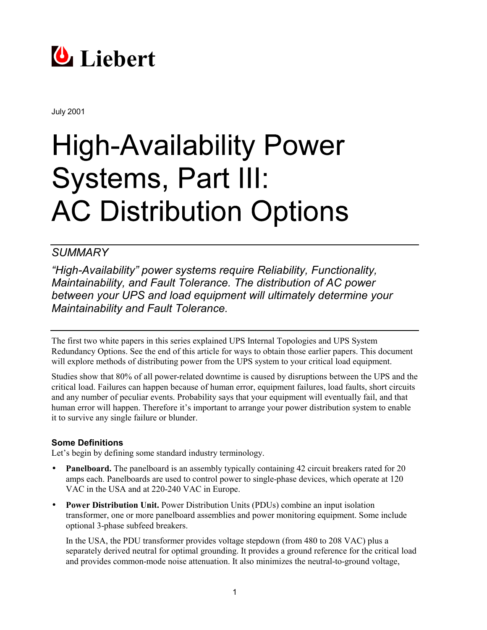

July 2001

# **High-Availability Power** Systems, Part III: **AC Distribution Options**

# *SUMMARY*

*"High-Availability" power systems require Reliability, Functionality, Maintainability, and Fault Tolerance. The distribution of AC power between your UPS and load equipment will ultimately determine your Maintainability and Fault Tolerance.*

The first two white papers in this series explained UPS Internal Topologies and UPS System Redundancy Options. See the end of this article for ways to obtain those earlier papers. This document will explore methods of distributing power from the UPS system to your critical load equipment.

Studies show that 80% of all power-related downtime is caused by disruptions between the UPS and the critical load. Failures can happen because of human error, equipment failures, load faults, short circuits and any number of peculiar events. Probability says that your equipment will eventually fail, and that human error will happen. Therefore it's important to arrange your power distribution system to enable it to survive any single failure or blunder.

# **Some Definitions**

Let's begin by defining some standard industry terminology.

- **Panelboard.** The panelboard is an assembly typically containing 42 circuit breakers rated for 20 amps each. Panelboards are used to control power to single-phase devices, which operate at 120 VAC in the USA and at 220-240 VAC in Europe.
- **Power Distribution Unit.** Power Distribution Units (PDUs) combine an input isolation transformer, one or more panelboard assemblies and power monitoring equipment. Some include optional 3-phase subfeed breakers.

In the USA, the PDU transformer provides voltage stepdown (from 480 to 208 VAC) plus a separately derived neutral for optimal grounding. It provides a ground reference for the critical load and provides common-mode noise attenuation. It also minimizes the neutral-to-ground voltage,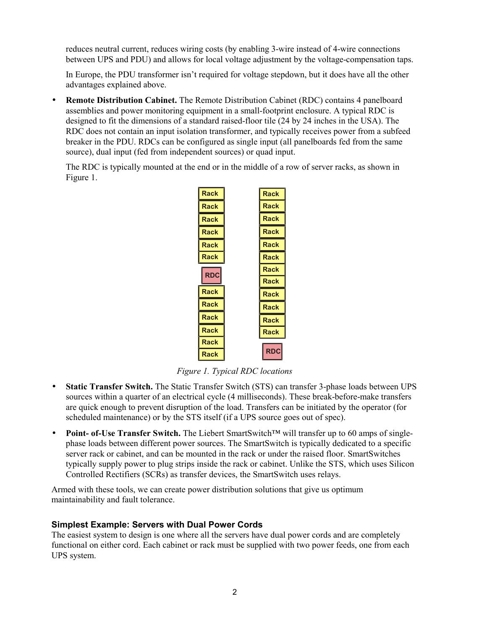reduces neutral current, reduces wiring costs (by enabling 3-wire instead of 4-wire connections between UPS and PDU) and allows for local voltage adjustment by the voltage-compensation taps.

In Europe, the PDU transformer isn't required for voltage stepdown, but it does have all the other advantages explained above.

• **Remote Distribution Cabinet.** The Remote Distribution Cabinet (RDC) contains 4 panelboard assemblies and power monitoring equipment in a small-footprint enclosure. A typical RDC is designed to fit the dimensions of a standard raised-floor tile (24 by 24 inches in the USA). The RDC does not contain an input isolation transformer, and typically receives power from a subfeed breaker in the PDU. RDCs can be configured as single input (all panelboards fed from the same source), dual input (fed from independent sources) or quad input.

The RDC is typically mounted at the end or in the middle of a row of server racks, as shown in Figure 1.



*Figure 1. Typical RDC locations*

- **Static Transfer Switch.** The Static Transfer Switch (STS) can transfer 3-phase loads between UPS sources within a quarter of an electrical cycle (4 milliseconds). These break-before-make transfers are quick enough to prevent disruption of the load. Transfers can be initiated by the operator (for scheduled maintenance) or by the STS itself (if a UPS source goes out of spec).
- **Point- of-Use Transfer Switch.** The Liebert SmartSwitch™ will transfer up to 60 amps of singlephase loads between different power sources. The SmartSwitch is typically dedicated to a specific server rack or cabinet, and can be mounted in the rack or under the raised floor. SmartSwitches typically supply power to plug strips inside the rack or cabinet. Unlike the STS, which uses Silicon Controlled Rectifiers (SCRs) as transfer devices, the SmartSwitch uses relays.

Armed with these tools, we can create power distribution solutions that give us optimum maintainability and fault tolerance.

# **Simplest Example: Servers with Dual Power Cords**

The easiest system to design is one where all the servers have dual power cords and are completely functional on either cord. Each cabinet or rack must be supplied with two power feeds, one from each UPS system.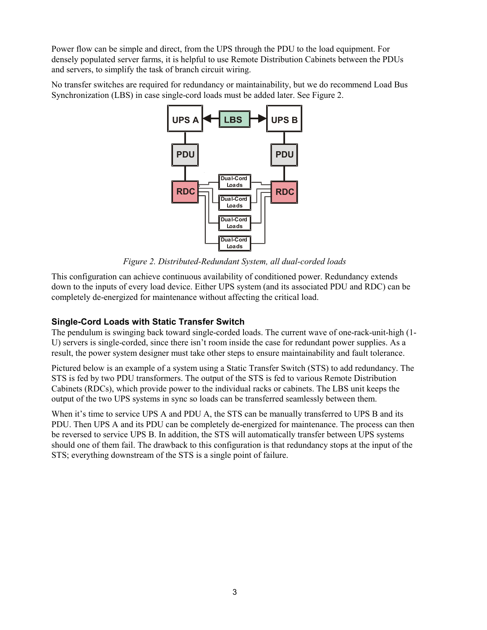Power flow can be simple and direct, from the UPS through the PDU to the load equipment. For densely populated server farms, it is helpful to use Remote Distribution Cabinets between the PDUs and servers, to simplify the task of branch circuit wiring.

No transfer switches are required for redundancy or maintainability, but we do recommend Load Bus Synchronization (LBS) in case single-cord loads must be added later. See Figure 2.



*Figure 2. Distributed-Redundant System, all dual-corded loads*

This configuration can achieve continuous availability of conditioned power. Redundancy extends down to the inputs of every load device. Either UPS system (and its associated PDU and RDC) can be completely de-energized for maintenance without affecting the critical load.

# **Single-Cord Loads with Static Transfer Switch**

The pendulum is swinging back toward single-corded loads. The current wave of one-rack-unit-high (1- U) servers is single-corded, since there isn't room inside the case for redundant power supplies. As a result, the power system designer must take other steps to ensure maintainability and fault tolerance.

Pictured below is an example of a system using a Static Transfer Switch (STS) to add redundancy. The STS is fed by two PDU transformers. The output of the STS is fed to various Remote Distribution Cabinets (RDCs), which provide power to the individual racks or cabinets. The LBS unit keeps the output of the two UPS systems in sync so loads can be transferred seamlessly between them.

When it's time to service UPS A and PDU A, the STS can be manually transferred to UPS B and its PDU. Then UPS A and its PDU can be completely de-energized for maintenance. The process can then be reversed to service UPS B. In addition, the STS will automatically transfer between UPS systems should one of them fail. The drawback to this configuration is that redundancy stops at the input of the STS; everything downstream of the STS is a single point of failure.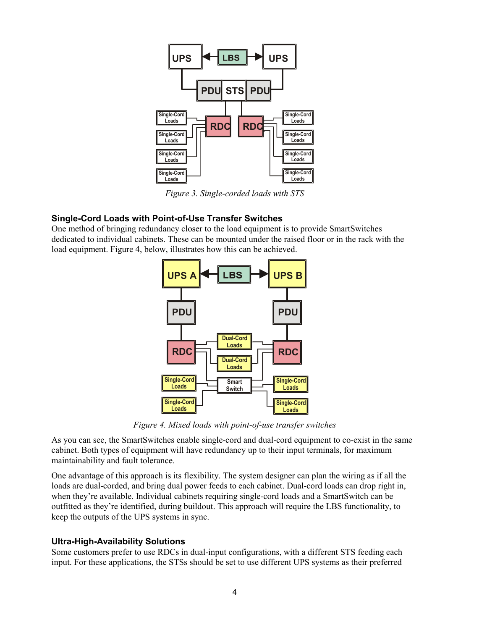![](_page_3_Figure_0.jpeg)

*Figure 3. Single-corded loads with STS*

# **Single-Cord Loads with Point-of-Use Transfer Switches**

One method of bringing redundancy closer to the load equipment is to provide SmartSwitches dedicated to individual cabinets. These can be mounted under the raised floor or in the rack with the load equipment. Figure 4, below, illustrates how this can be achieved.

![](_page_3_Figure_4.jpeg)

*Figure 4. Mixed loads with point-of-use transfer switches*

As you can see, the SmartSwitches enable single-cord and dual-cord equipment to co-exist in the same cabinet. Both types of equipment will have redundancy up to their input terminals, for maximum maintainability and fault tolerance.

One advantage of this approach is its flexibility. The system designer can plan the wiring as if all the loads are dual-corded, and bring dual power feeds to each cabinet. Dual-cord loads can drop right in, when they're available. Individual cabinets requiring single-cord loads and a SmartSwitch can be outfitted as they're identified, during buildout. This approach will require the LBS functionality, to keep the outputs of the UPS systems in sync.

# **Ultra-High-Availability Solutions**

Some customers prefer to use RDCs in dual-input configurations, with a different STS feeding each input. For these applications, the STSs should be set to use different UPS systems as their preferred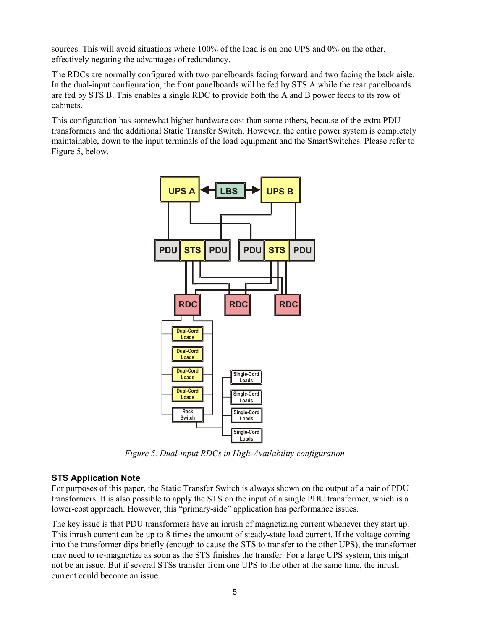sources. This will avoid situations where 100% of the load is on one UPS and 0% on the other, effectively negating the advantages of redundancy.

The RDCs are normally configured with two panelboards facing forward and two facing the back aisle. In the dual-input configuration, the front panelboards will be fed by STS A while the rear panelboards are fed by STS B. This enables a single RDC to provide both the A and B power feeds to its row of cabinets.

This configuration has somewhat higher hardware cost than some others, because of the extra PDU transformers and the additional Static Transfer Switch. However, the entire power system is completely maintainable, down to the input terminals of the load equipment and the SmartSwitches. Please refer to Figure 5, below.

![](_page_4_Figure_3.jpeg)

*Figure 5. Dual-input RDCs in High-Availability configuration*

# **STS Application Note**

For purposes of this paper, the Static Transfer Switch is always shown on the output of a pair of PDU transformers. It is also possible to apply the STS on the input of a single PDU transformer, which is a lower-cost approach. However, this "primary-side" application has performance issues.

The key issue is that PDU transformers have an inrush of magnetizing current whenever they start up. This inrush current can be up to 8 times the amount of steady-state load current. If the voltage coming into the transformer dips briefly (enough to cause the STS to transfer to the other UPS), the transformer may need to re-magnetize as soon as the STS finishes the transfer. For a large UPS system, this might not be an issue. But if several STSs transfer from one UPS to the other at the same time, the inrush current could become an issue.